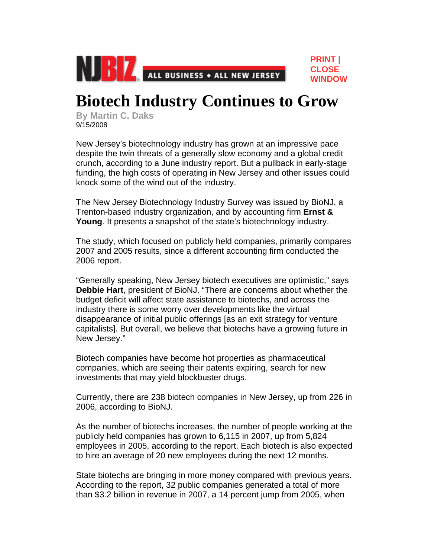

## **Biotech Industry Continues to Grow**

**[PRINT](javascript:print())** | **[CLOSE](javascript:window.close();)  [WINDOW](javascript:window.close();)**

**By Martin C. Daks** 9/15/2008

New Jersey's biotechnology industry has grown at an impressive pace despite the twin threats of a generally slow economy and a global credit crunch, according to a June industry report. But a pullback in early-stage funding, the high costs of operating in New Jersey and other issues could knock some of the wind out of the industry.

The New Jersey Biotechnology Industry Survey was issued by BioNJ, a Trenton-based industry organization, and by accounting firm **Ernst & Young**. It presents a snapshot of the state's biotechnology industry.

The study, which focused on publicly held companies, primarily compares 2007 and 2005 results, since a different accounting firm conducted the 2006 report.

"Generally speaking, New Jersey biotech executives are optimistic," says **Debbie Hart**, president of BioNJ. "There are concerns about whether the budget deficit will affect state assistance to biotechs, and across the industry there is some worry over developments like the virtual disappearance of initial public offerings [as an exit strategy for venture capitalists]. But overall, we believe that biotechs have a growing future in New Jersey."

Biotech companies have become hot properties as pharmaceutical companies, which are seeing their patents expiring, search for new investments that may yield blockbuster drugs.

Currently, there are 238 biotech companies in New Jersey, up from 226 in 2006, according to BioNJ.

As the number of biotechs increases, the number of people working at the publicly held companies has grown to 6,115 in 2007, up from 5,824 employees in 2005, according to the report. Each biotech is also expected to hire an average of 20 new employees during the next 12 months.

State biotechs are bringing in more money compared with previous years. According to the report, 32 public companies generated a total of more than \$3.2 billion in revenue in 2007, a 14 percent jump from 2005, when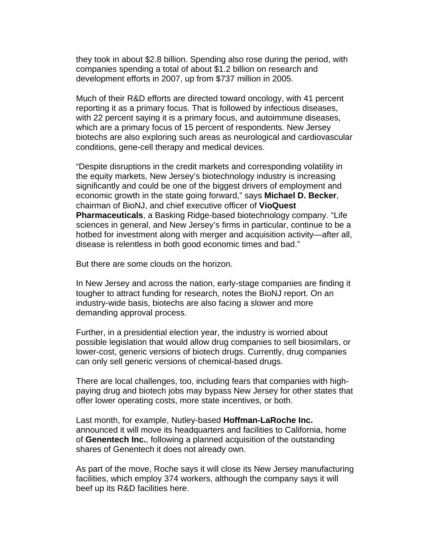they took in about \$2.8 billion. Spending also rose during the period, with companies spending a total of about \$1.2 billion on research and development efforts in 2007, up from \$737 million in 2005.

Much of their R&D efforts are directed toward oncology, with 41 percent reporting it as a primary focus. That is followed by infectious diseases, with 22 percent saying it is a primary focus, and autoimmune diseases, which are a primary focus of 15 percent of respondents. New Jersey biotechs are also exploring such areas as neurological and cardiovascular conditions, gene-cell therapy and medical devices.

"Despite disruptions in the credit markets and corresponding volatility in the equity markets, New Jersey's biotechnology industry is increasing significantly and could be one of the biggest drivers of employment and economic growth in the state going forward," says **Michael D. Becker**, chairman of BioNJ, and chief executive officer of **VioQuest Pharmaceuticals**, a Basking Ridge-based biotechnology company. "Life sciences in general, and New Jersey's firms in particular, continue to be a hotbed for investment along with merger and acquisition activity—after all, disease is relentless in both good economic times and bad."

But there are some clouds on the horizon.

In New Jersey and across the nation, early-stage companies are finding it tougher to attract funding for research, notes the BioNJ report. On an industry-wide basis, biotechs are also facing a slower and more demanding approval process.

Further, in a presidential election year, the industry is worried about possible legislation that would allow drug companies to sell biosimilars, or lower-cost, generic versions of biotech drugs. Currently, drug companies can only sell generic versions of chemical-based drugs.

There are local challenges, too, including fears that companies with highpaying drug and biotech jobs may bypass New Jersey for other states that offer lower operating costs, more state incentives, or both.

Last month, for example, Nutley-based **Hoffman-LaRoche Inc.** announced it will move its headquarters and facilities to California, home of **Genentech Inc.**, following a planned acquisition of the outstanding shares of Genentech it does not already own.

As part of the move, Roche says it will close its New Jersey manufacturing facilities, which employ 374 workers, although the company says it will beef up its R&D facilities here.